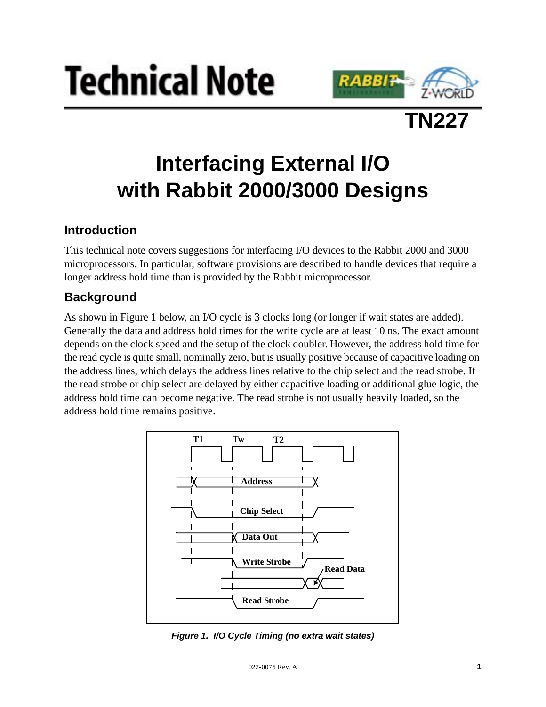





# **Interfacing External I/O with Rabbit 2000/3000 Designs**

# **Introduction**

This technical note covers suggestions for interfacing I/O devices to the Rabbit 2000 and 3000 microprocessors. In particular, software provisions are described to handle devices that require a longer address hold time than is provided by the Rabbit microprocessor.

# **Background**

As shown in [Figure 1](#page-0-0) below, an I/O cycle is 3 clocks long (or longer if wait states are added). Generally the data and address hold times for the write cycle are at least 10 ns. The exact amount depends on the clock speed and the setup of the clock doubler. However, the address hold time for the read cycle is quite small, nominally zero, but is usually positive because of capacitive loading on the address lines, which delays the address lines relative to the chip select and the read strobe. If the read strobe or chip select are delayed by either capacitive loading or additional glue logic, the address hold time can become negative. The read strobe is not usually heavily loaded, so the address hold time remains positive.



<span id="page-0-0"></span>**Figure 1. I/O Cycle Timing (no extra wait states)**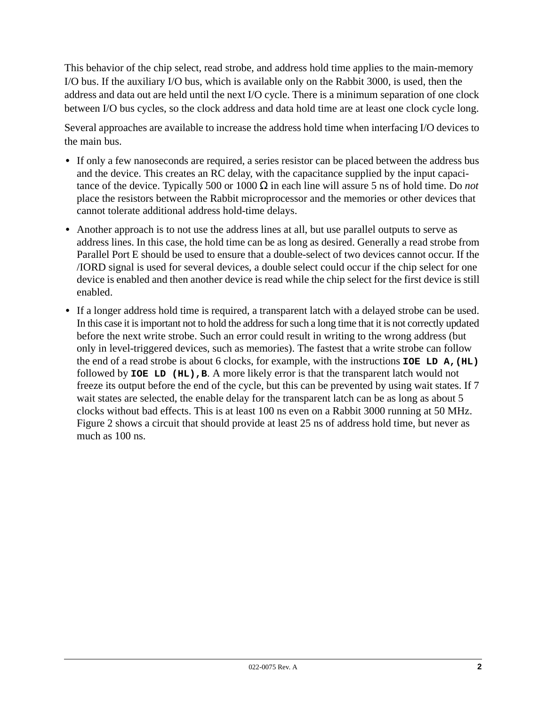This behavior of the chip select, read strobe, and address hold time applies to the main-memory I/O bus. If the auxiliary I/O bus, which is available only on the Rabbit 3000, is used, then the address and data out are held until the next I/O cycle. There is a minimum separation of one clock between I/O bus cycles, so the clock address and data hold time are at least one clock cycle long.

Several approaches are available to increase the address hold time when interfacing I/O devices to the main bus.

- If only a few nanoseconds are required, a series resistor can be placed between the address bus and the device. This creates an RC delay, with the capacitance supplied by the input capacitance of the device. Typically 500 or 1000 Ω in each line will assure 5 ns of hold time. Do *not* place the resistors between the Rabbit microprocessor and the memories or other devices that cannot tolerate additional address hold-time delays.
- Another approach is to not use the address lines at all, but use parallel outputs to serve as address lines. In this case, the hold time can be as long as desired. Generally a read strobe from Parallel Port E should be used to ensure that a double-select of two devices cannot occur. If the /IORD signal is used for several devices, a double select could occur if the chip select for one device is enabled and then another device is read while the chip select for the first device is still enabled.
- **•** If a longer address hold time is required, a transparent latch with a delayed strobe can be used. In this case it is important not to hold the address for such a long time that it is not correctly updated before the next write strobe. Such an error could result in writing to the wrong address (but only in level-triggered devices, such as memories). The fastest that a write strobe can follow the end of a read strobe is about 6 clocks, for example, with the instructions **IOE LD A,(HL)** followed by **IOE LD** (HL), B. A more likely error is that the transparent latch would not freeze its output before the end of the cycle, but this can be prevented by using wait states. If 7 wait states are selected, the enable delay for the transparent latch can be as long as about 5 clocks without bad effects. This is at least 100 ns even on a Rabbit 3000 running at 50 MHz. [Figure 2](#page-2-0) shows a circuit that should provide at least 25 ns of address hold time, but never as much as 100 ns.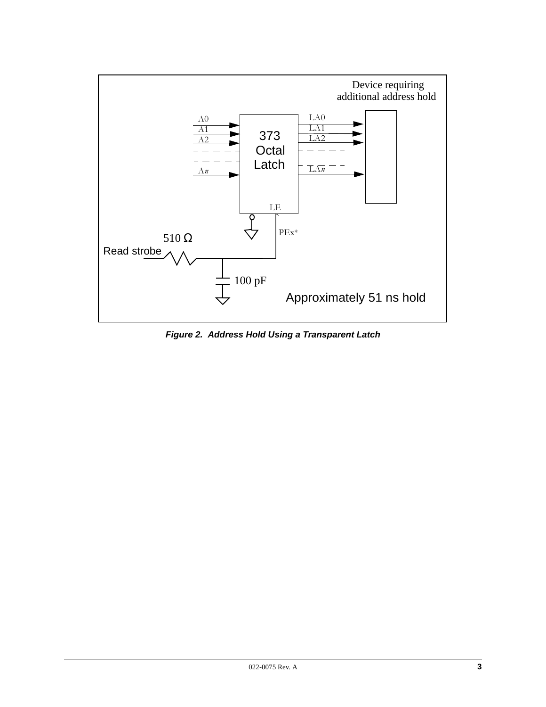

<span id="page-2-0"></span>**Figure 2. Address Hold Using a Transparent Latch**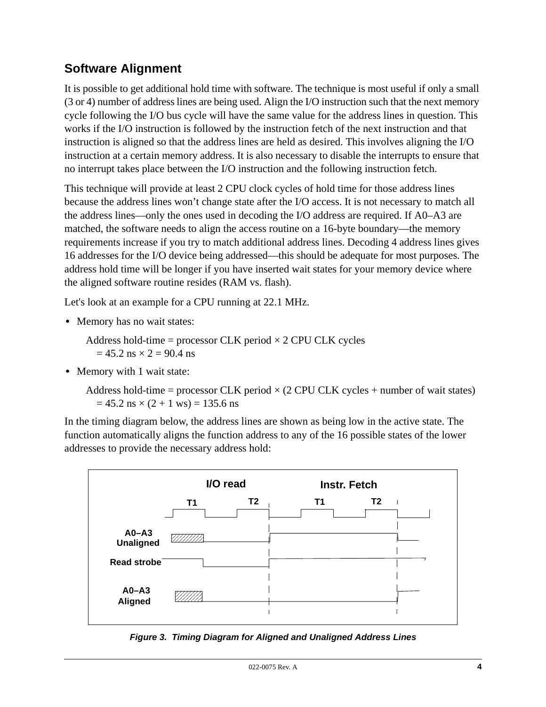# **Software Alignment**

It is possible to get additional hold time with software. The technique is most useful if only a small (3 or 4) number of address lines are being used. Align the I/O instruction such that the next memory cycle following the I/O bus cycle will have the same value for the address lines in question. This works if the I/O instruction is followed by the instruction fetch of the next instruction and that instruction is aligned so that the address lines are held as desired. This involves aligning the I/O instruction at a certain memory address. It is also necessary to disable the interrupts to ensure that no interrupt takes place between the I/O instruction and the following instruction fetch.

This technique will provide at least 2 CPU clock cycles of hold time for those address lines because the address lines won't change state after the I/O access. It is not necessary to match all the address lines—only the ones used in decoding the I/O address are required. If A0–A3 are matched, the software needs to align the access routine on a 16-byte boundary—the memory requirements increase if you try to match additional address lines. Decoding 4 address lines gives 16 addresses for the I/O device being addressed—this should be adequate for most purposes. The address hold time will be longer if you have inserted wait states for your memory device where the aligned software routine resides (RAM vs. flash).

Let's look at an example for a CPU running at 22.1 MHz.

**•** Memory has no wait states:

Address hold-time = processor CLK period  $\times$  2 CPU CLK cycles  $= 45.2$  ns  $\times 2 = 90.4$  ns

• Memory with 1 wait state:

Address hold-time = processor CLK period  $\times$  (2 CPU CLK cycles + number of wait states)  $= 45.2$  ns  $\times$  (2 + 1 ws) = 135.6 ns

In the timing diagram below, the address lines are shown as being low in the active state. The function automatically aligns the function address to any of the 16 possible states of the lower addresses to provide the necessary address hold:



**Figure 3. Timing Diagram for Aligned and Unaligned Address Lines**